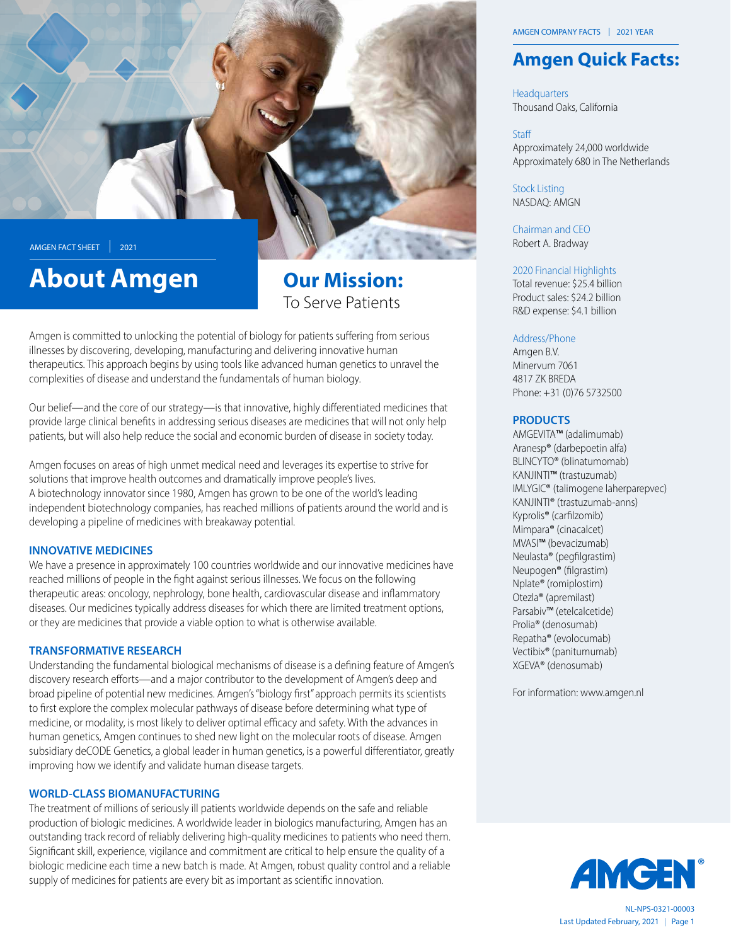

# **About Amgen**

## To Serve Patients **Our Mission:**

Amgen is committed to unlocking the potential of biology for patients suffering from serious illnesses by discovering, developing, manufacturing and delivering innovative human therapeutics. This approach begins by using tools like advanced human genetics to unravel the complexities of disease and understand the fundamentals of human biology.

Our belief—and the core of our strategy—is that innovative, highly differentiated medicines that provide large clinical benefits in addressing serious diseases are medicines that will not only help patients, but will also help reduce the social and economic burden of disease in society today.

Amgen focuses on areas of high unmet medical need and leverages its expertise to strive for solutions that improve health outcomes and dramatically improve people's lives. A biotechnology innovator since 1980, Amgen has grown to be one of the world's leading independent biotechnology companies, has reached millions of patients around the world and is developing a pipeline of medicines with breakaway potential.

#### **INNOVATIVE MEDICINES**

We have a presence in approximately 100 countries worldwide and our innovative medicines have reached millions of people in the fight against serious illnesses. We focus on the following therapeutic areas: oncology, nephrology, bone health, cardiovascular disease and inflammatory diseases. Our medicines typically address diseases for which there are limited treatment options, or they are medicines that provide a viable option to what is otherwise available.

#### **TRANSFORMATIVE RESEARCH**

Understanding the fundamental biological mechanisms of disease is a defining feature of Amgen's discovery research efforts—and a major contributor to the development of Amgen's deep and broad pipeline of potential new medicines. Amgen's "biology first" approach permits its scientists to first explore the complex molecular pathways of disease before determining what type of medicine, or modality, is most likely to deliver optimal efficacy and safety. With the advances in human genetics, Amgen continues to shed new light on the molecular roots of disease. Amgen subsidiary deCODE Genetics, a global leader in human genetics, is a powerful differentiator, greatly improving how we identify and validate human disease targets.

#### **WORLD-CLASS BIOMANUFACTURING**

The treatment of millions of seriously ill patients worldwide depends on the safe and reliable production of biologic medicines. A worldwide leader in biologics manufacturing, Amgen has an outstanding track record of reliably delivering high-quality medicines to patients who need them. Significant skill, experience, vigilance and commitment are critical to help ensure the quality of a biologic medicine each time a new batch is made. At Amgen, robust quality control and a reliable supply of medicines for patients are every bit as important as scientific innovation.

### **Amgen Quick Facts:**

Headquarters Thousand Oaks, California

#### Staff

Approximately 24,000 worldwide Approximately 680 in The Netherlands

**Stock Listing** NASDAO: AMGN

Chairman and CEO Robert A. Bradway

#### 2020 Financial Highlights

Total revenue: \$25.4 billion Product sales: \$24.2 billion R&D expense: \$4.1 billion

#### Address/Phone

Amgen B.V. Minervum 7061 4817 7K BRFDA Phone: +31 (0)76 5732500

#### **PRODUCTS**

AMGEVITA™ (adalimumab) Aranesp® (darbepoetin alfa) BLINCYTO® (blinatumomab) KANJINTI™ (trastuzumab) IMLYGIC<sup>®</sup> (talimogene laherparepvec) KANJINTI® (trastuzumab-anns) Kyprolis<sup>®</sup> (carfilzomib) Mimpara® (cinacalcet) MVASI™ (bevacizumab) Neulasta® (pegfilgrastim) Neupogen® (filgrastim) Nplate® (romiplostim) Otezla<sup>®</sup> (apremilast) Parsabiv™ (etelcalcetide) Prolia<sup>®</sup> (denosumab) Repatha<sup>®</sup> (evolocumab) Vectibix® (panitumumab) XGEVA® (denosumab)

For information: www.amgen.nl



Last Updated February, 2021 | Page 1 NL-NPS-0321-00003